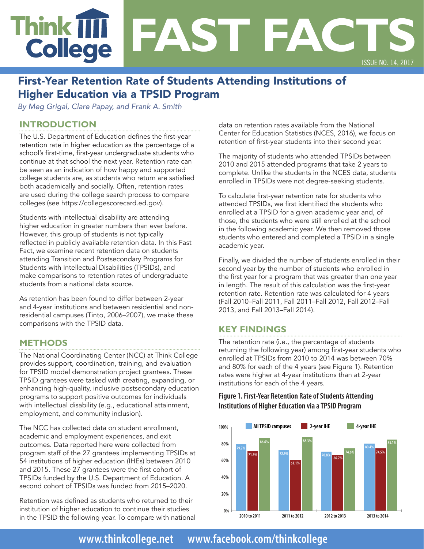# **Think IIII FAST FACTS College** ISSUE NO. 14, 2017

## First-Year Retention Rate of Students Attending Institutions of Higher Education via a TPSID Program

*By Meg Grigal, Clare Papay, and Frank A. Smith*

## **INTRODUCTION**

The U.S. Department of Education defines the first-year retention rate in higher education as the percentage of a school's first-time, first-year undergraduate students who continue at that school the next year. Retention rate can be seen as an indication of how happy and supported college students are, as students who return are satisfied both academically and socially. Often, retention rates are used during the college search process to compare colleges (see<https://collegescorecard.ed.gov>).

Students with intellectual disability are attending higher education in greater numbers than ever before. However, this group of students is not typically reflected in publicly available retention data. In this Fast Fact, we examine recent retention data on students attending Transition and Postsecondary Programs for Students with Intellectual Disabilities (TPSIDs), and make comparisons to retention rates of undergraduate students from a national data source.

As retention has been found to differ between 2-year and 4-year institutions and between residential and nonresidential campuses (Tinto, 2006–2007), we make these comparisons with the TPSID data.

## **METHODS**

The National Coordinating Center (NCC) at Think College provides support, coordination, training, and evaluation for TPSID model demonstration project grantees. These TPSID grantees were tasked with creating, expanding, or enhancing high-quality, inclusive postsecondary education programs to support positive outcomes for individuals with intellectual disability (e.g., educational attainment, employment, and community inclusion).

The NCC has collected data on student enrollment, academic and employment experiences, and exit outcomes. Data reported here were collected from program staff of the 27 grantees implementing TPSIDs at 54 institutions of higher education (IHEs) between 2010 and 2015. These 27 grantees were the first cohort of TPSIDs funded by the U.S. Department of Education. A second cohort of TPSIDs was funded from 2015–2020.

Retention was defined as students who returned to their institution of higher education to continue their studies in the TPSID the following year. To compare with national data on retention rates available from the National Center for Education Statistics (NCES, 2016), we focus on retention of first-year students into their second year.

The majority of students who attended TPSIDs between 2010 and 2015 attended programs that take 2 years to complete. Unlike the students in the NCES data, students enrolled in TPSIDs were not degree-seeking students.

To calculate first-year retention rate for students who attended TPSIDs, we first identified the students who enrolled at a TPSID for a given academic year and, of those, the students who were still enrolled at the school in the following academic year. We then removed those students who entered and completed a TPSID in a single academic year.

Finally, we divided the number of students enrolled in their second year by the number of students who enrolled in the first year for a program that was greater than one year in length. The result of this calculation was the first-year retention rate. Retention rate was calculated for 4 years (Fall 2010–Fall 2011, Fall 2011–Fall 2012, Fall 2012–Fall 2013, and Fall 2013–Fall 2014).

## **KEY FINDINGS**

The retention rate (i.e., the percentage of students returning the following year) among first-year students who enrolled at TPSIDs from 2010 to 2014 was between 70% and 80% for each of the 4 years (see Figure 1). Retention rates were higher at 4-year institutions than at 2-year institutions for each of the 4 years.

#### **Figure 1. First-Year Retention Rate of Students Attending Institutions of Higher Education via a TPSID Program**



**[www.thinkcollege.net •](http://www.thinkcollege.net) [www.facebook.com/thinkcollege](http://www.facebook.com/thinkcollege)**